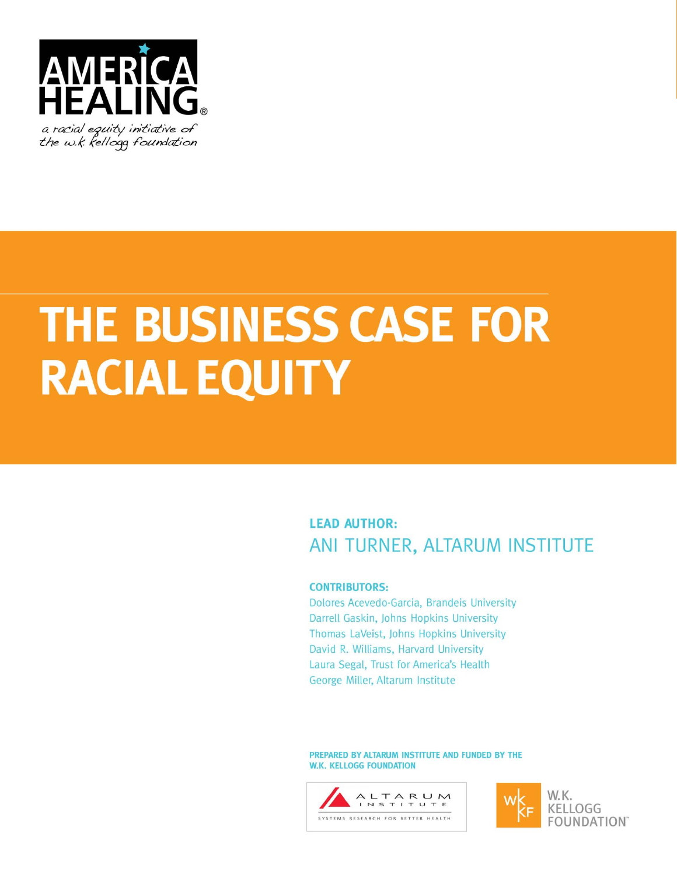

# **THE BUSINESS CASE FOR RACIAL EQUITY**

## **LEAD AUTHOR:** ANI TURNER, ALTARUM INSTITUTE

#### **CONTRIBUTORS:**

Dolores Acevedo-Garcia, Brandeis University Darrell Gaskin, Johns Hopkins University Thomas LaVeist, Johns Hopkins University David R. Williams, Harvard University Laura Segal, Trust for America's Health George Miller, Altarum Institute

PREPARED BY ALTARUM INSTITUTE AND FUNDED BY THE **W.K. KELLOGG FOUNDATION** 



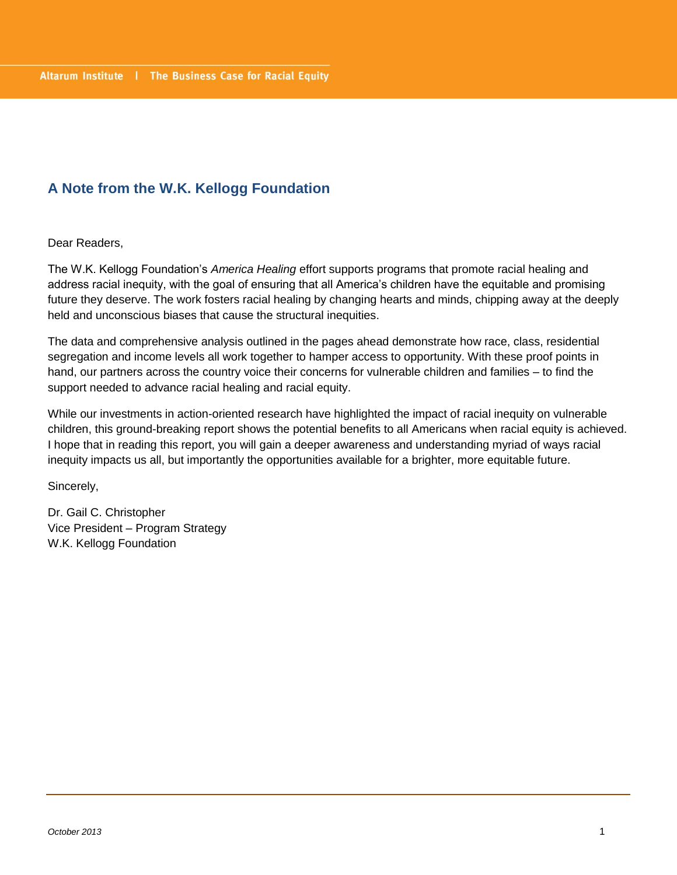## **A Note from the W.K. Kellogg Foundation**

Dear Readers,

The W.K. Kellogg Foundation's *America Healing* effort supports programs that promote racial healing and address racial inequity, with the goal of ensuring that all America's children have the equitable and promising future they deserve. The work fosters racial healing by changing hearts and minds, chipping away at the deeply held and unconscious biases that cause the structural inequities.

The data and comprehensive analysis outlined in the pages ahead demonstrate how race, class, residential segregation and income levels all work together to hamper access to opportunity. With these proof points in hand, our partners across the country voice their concerns for vulnerable children and families – to find the support needed to advance racial healing and racial equity.

While our investments in action-oriented research have highlighted the impact of racial inequity on vulnerable children, this ground-breaking report shows the potential benefits to all Americans when racial equity is achieved. I hope that in reading this report, you will gain a deeper awareness and understanding myriad of ways racial inequity impacts us all, but importantly the opportunities available for a brighter, more equitable future.

Sincerely,

Dr. Gail C. Christopher Vice President – Program Strategy W.K. Kellogg Foundation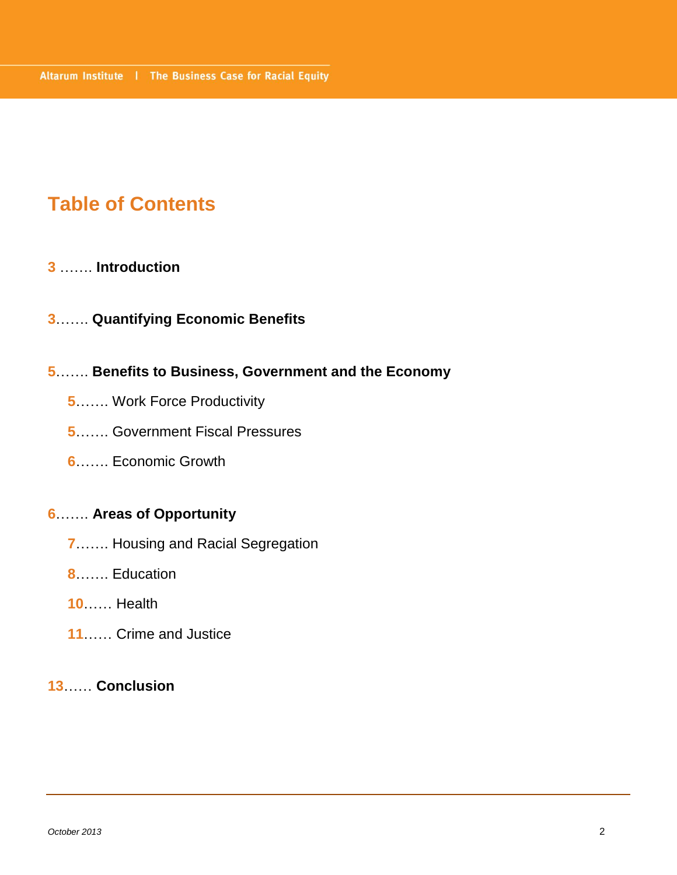# **Table of Contents**

## **3** ……. **Introduction**

## **3**……. **Quantifying Economic Benefits**

## **5**……. **Benefits to Business, Government and the Economy**

- **5**……. Work Force Productivity
- **5**……. Government Fiscal Pressures
- **6**……. Economic Growth

## **6**……. **Areas of Opportunity**

- **7**……. Housing and Racial Segregation
- **8**……. Education
- **10**…… Health
- **11**…… Crime and Justice

## **13**…… **Conclusion**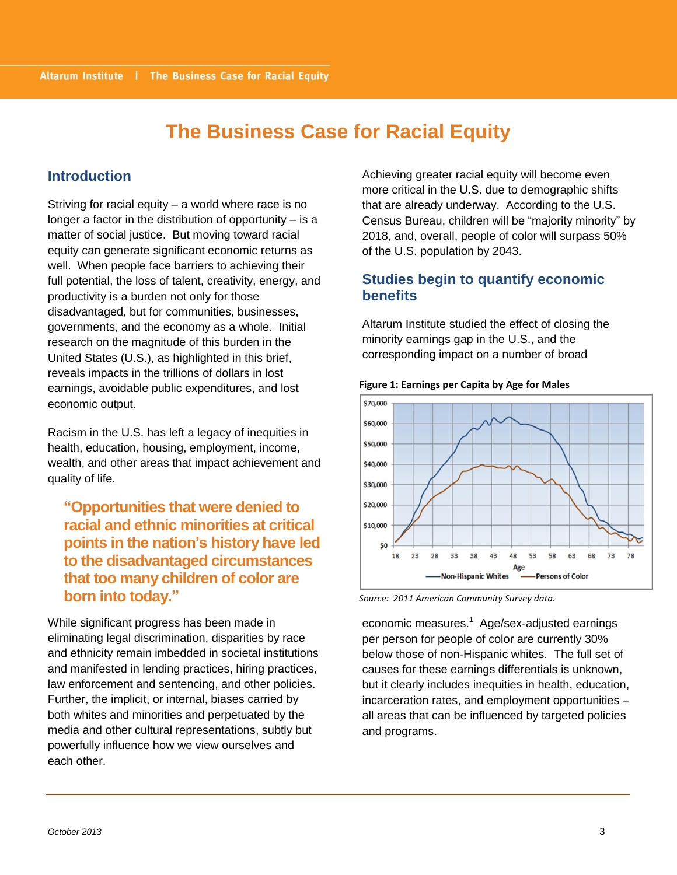# **The Business Case for Racial Equity**

## **Introduction**

Striving for racial equity – a world where race is no longer a factor in the distribution of opportunity – is a matter of social justice. But moving toward racial equity can generate significant economic returns as well. When people face barriers to achieving their full potential, the loss of talent, creativity, energy, and productivity is a burden not only for those disadvantaged, but for communities, businesses, governments, and the economy as a whole. Initial research on the magnitude of this burden in the United States (U.S.), as highlighted in this brief, reveals impacts in the trillions of dollars in lost earnings, avoidable public expenditures, and lost economic output.

Racism in the U.S. has left a legacy of inequities in health, education, housing, employment, income, wealth, and other areas that impact achievement and quality of life.

**"Opportunities that were denied to racial and ethnic minorities at critical points in the nation's history have led to the disadvantaged circumstances that too many children of color are born into today."**

While significant progress has been made in eliminating legal discrimination, disparities by race and ethnicity remain imbedded in societal institutions and manifested in lending practices, hiring practices, law enforcement and sentencing, and other policies. Further, the implicit, or internal, biases carried by both whites and minorities and perpetuated by the media and other cultural representations, subtly but powerfully influence how we view ourselves and each other.

Achieving greater racial equity will become even more critical in the U.S. due to demographic shifts that are already underway. According to the U.S. Census Bureau, children will be "majority minority" by 2018, and, overall, people of color will surpass 50% of the U.S. population by 2043.

## **Studies begin to quantify economic benefits**

Altarum Institute studied the effect of closing the minority earnings gap in the U.S., and the corresponding impact on a number of broad



**Figure 1: Earnings per Capita by Age for Males**

*Source: 2011 American Community Survey data.*

economic measures.<sup>1</sup> Age/sex-adjusted earnings per person for people of color are currently 30% below those of non-Hispanic whites. The full set of causes for these earnings differentials is unknown, but it clearly includes inequities in health, education, incarceration rates, and employment opportunities – all areas that can be influenced by targeted policies and programs.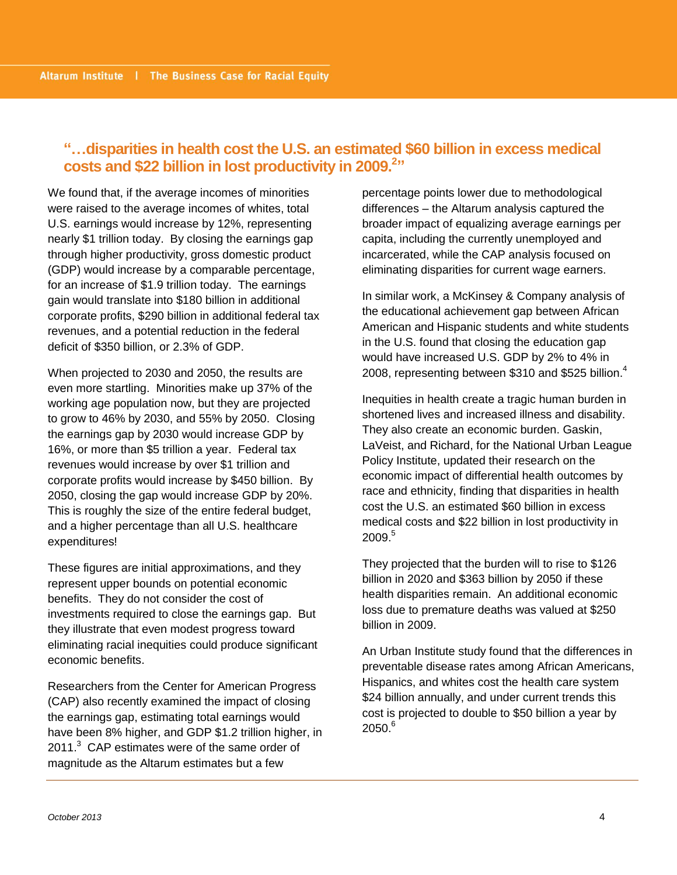## **"…disparities in health cost the U.S. an estimated \$60 billion in excess medical costs and \$22 billion in lost productivity in 2009.<sup>2</sup> "**

We found that, if the average incomes of minorities were raised to the average incomes of whites, total U.S. earnings would increase by 12%, representing nearly \$1 trillion today. By closing the earnings gap through higher productivity, gross domestic product (GDP) would increase by a comparable percentage, for an increase of \$1.9 trillion today. The earnings gain would translate into \$180 billion in additional corporate profits, \$290 billion in additional federal tax revenues, and a potential reduction in the federal deficit of \$350 billion, or 2.3% of GDP.

When projected to 2030 and 2050, the results are even more startling. Minorities make up 37% of the working age population now, but they are projected to grow to 46% by 2030, and 55% by 2050. Closing the earnings gap by 2030 would increase GDP by 16%, or more than \$5 trillion a year. Federal tax revenues would increase by over \$1 trillion and corporate profits would increase by \$450 billion. By 2050, closing the gap would increase GDP by 20%. This is roughly the size of the entire federal budget, and a higher percentage than all U.S. healthcare expenditures!

These figures are initial approximations, and they represent upper bounds on potential economic benefits. They do not consider the cost of investments required to close the earnings gap. But they illustrate that even modest progress toward eliminating racial inequities could produce significant economic benefits.

Researchers from the Center for American Progress (CAP) also recently examined the impact of closing the earnings gap, estimating total earnings would have been 8% higher, and GDP \$1.2 trillion higher, in 2011. $3$  CAP estimates were of the same order of magnitude as the Altarum estimates but a few

percentage points lower due to methodological differences – the Altarum analysis captured the broader impact of equalizing average earnings per capita, including the currently unemployed and incarcerated, while the CAP analysis focused on eliminating disparities for current wage earners.

In similar work, a McKinsey & Company analysis of the educational achievement gap between African American and Hispanic students and white students in the U.S. found that closing the education gap would have increased U.S. GDP by 2% to 4% in 2008, representing between \$310 and \$525 billion. $4$ 

Inequities in health create a tragic human burden in shortened lives and increased illness and disability. They also create an economic burden. Gaskin, LaVeist, and Richard, for the National Urban League Policy Institute, updated their research on the economic impact of differential health outcomes by race and ethnicity, finding that disparities in health cost the U.S. an estimated \$60 billion in excess medical costs and \$22 billion in lost productivity in  $2009.<sup>5</sup>$ 

They projected that the burden will to rise to \$126 billion in 2020 and \$363 billion by 2050 if these health disparities remain. An additional economic loss due to premature deaths was valued at \$250 billion in 2009.

An Urban Institute study found that the differences in preventable disease rates among African Americans, Hispanics, and whites cost the health care system \$24 billion annually, and under current trends this cost is projected to double to \$50 billion a year by  $2050<sup>6</sup>$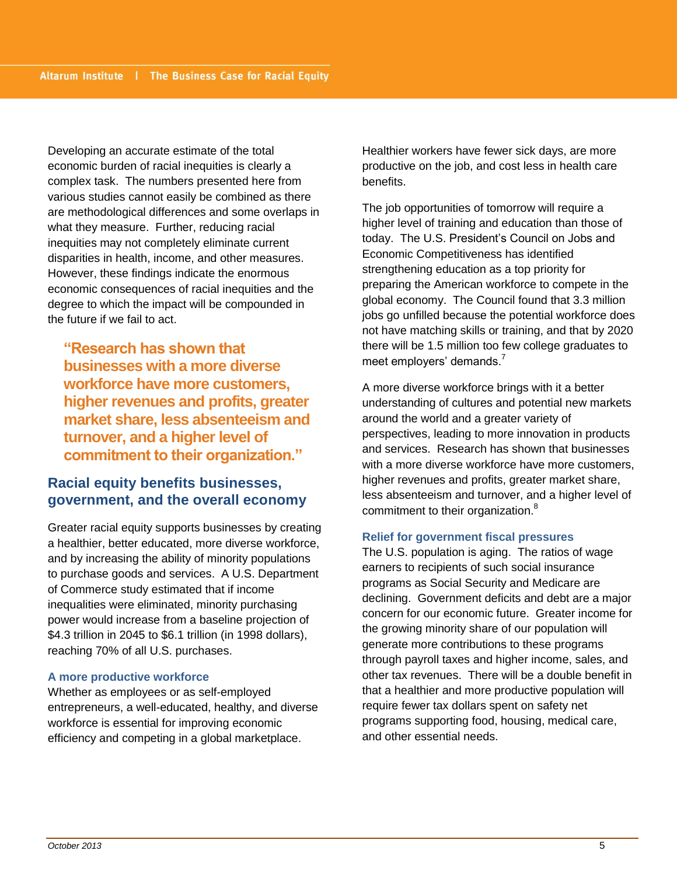Developing an accurate estimate of the total economic burden of racial inequities is clearly a complex task. The numbers presented here from various studies cannot easily be combined as there are methodological differences and some overlaps in what they measure. Further, reducing racial inequities may not completely eliminate current disparities in health, income, and other measures. However, these findings indicate the enormous economic consequences of racial inequities and the degree to which the impact will be compounded in the future if we fail to act.

**"Research has shown that businesses with a more diverse workforce have more customers, higher revenues and profits, greater market share, less absenteeism and turnover, and a higher level of commitment to their organization."**

## **Racial equity benefits businesses, government, and the overall economy**

Greater racial equity supports businesses by creating a healthier, better educated, more diverse workforce, and by increasing the ability of minority populations to purchase goods and services. A U.S. Department of Commerce study estimated that if income inequalities were eliminated, minority purchasing power would increase from a baseline projection of \$4.3 trillion in 2045 to \$6.1 trillion (in 1998 dollars), reaching 70% of all U.S. purchases.

#### **A more productive workforce**

Whether as employees or as self-employed entrepreneurs, a well-educated, healthy, and diverse workforce is essential for improving economic efficiency and competing in a global marketplace.

Healthier workers have fewer sick days, are more productive on the job, and cost less in health care benefits.

The job opportunities of tomorrow will require a higher level of training and education than those of today. The U.S. President's Council on Jobs and Economic Competitiveness has identified strengthening education as a top priority for preparing the American workforce to compete in the global economy. The Council found that 3.3 million jobs go unfilled because the potential workforce does not have matching skills or training, and that by 2020 there will be 1.5 million too few college graduates to meet employers' demands. $<sup>7</sup>$ </sup>

A more diverse workforce brings with it a better understanding of cultures and potential new markets around the world and a greater variety of perspectives, leading to more innovation in products and services. Research has shown that businesses with a more diverse workforce have more customers. higher revenues and profits, greater market share, less absenteeism and turnover, and a higher level of commitment to their organization.<sup>8</sup>

#### **Relief for government fiscal pressures**

The U.S. population is aging. The ratios of wage earners to recipients of such social insurance programs as Social Security and Medicare are declining. Government deficits and debt are a major concern for our economic future. Greater income for the growing minority share of our population will generate more contributions to these programs through payroll taxes and higher income, sales, and other tax revenues. There will be a double benefit in that a healthier and more productive population will require fewer tax dollars spent on safety net programs supporting food, housing, medical care, and other essential needs.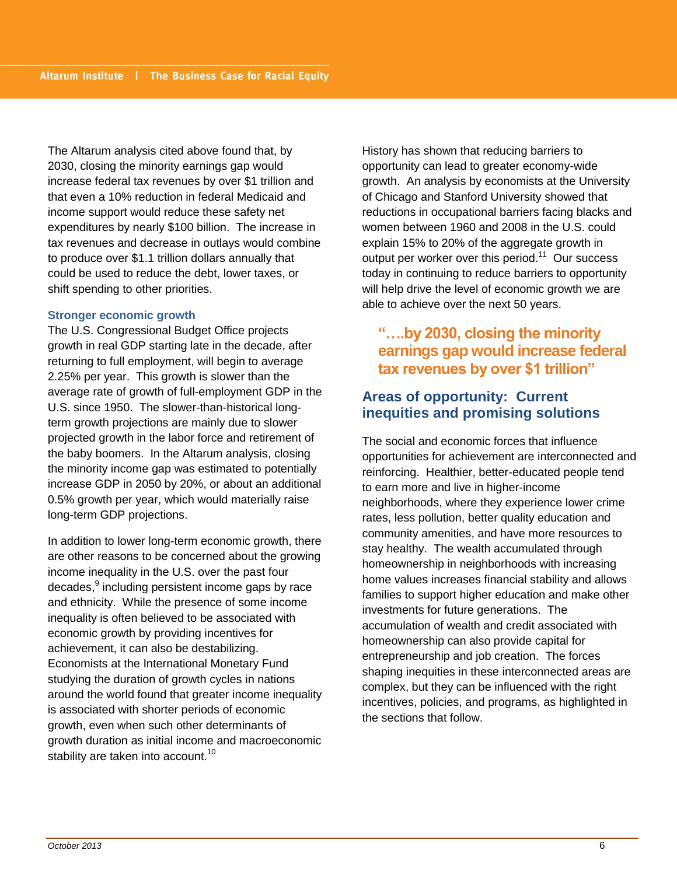The Altarum analysis cited above found that, by 2030, closing the minority earnings gap would increase federal tax revenues by over \$1 trillion and that even a 10% reduction in federal Medicaid and income support would reduce these safety net expenditures by nearly \$100 billion. The increase in tax revenues and decrease in outlays would combine to produce over \$1.1 trillion dollars annually that could be used to reduce the debt, lower taxes, or shift spending to other priorities.

#### **Stronger economic growth**

The U.S. Congressional Budget Office projects growth in real GDP starting late in the decade, after returning to full employment, will begin to average 2.25% per year. This growth is slower than the average rate of growth of full-employment GDP in the U.S. since 1950. The slower-than-historical longterm growth projections are mainly due to slower projected growth in the labor force and retirement of the baby boomers. In the Altarum analysis, closing the minority income gap was estimated to potentially increase GDP in 2050 by 20%, or about an additional 0.5% growth per year, which would materially raise long-term GDP projections.

In addition to lower long-term economic growth, there are other reasons to be concerned about the growing income inequality in the U.S. over the past four decades,<sup>9</sup> including persistent income gaps by race and ethnicity. While the presence of some income inequality is often believed to be associated with economic growth by providing incentives for achievement, it can also be destabilizing. Economists at the International Monetary Fund studying the duration of growth cycles in nations around the world found that greater income inequality is associated with shorter periods of economic growth, even when such other determinants of growth duration as initial income and macroeconomic stability are taken into account.<sup>10</sup>

History has shown that reducing barriers to opportunity can lead to greater economy-wide growth. An analysis by economists at the University of Chicago and Stanford University showed that reductions in occupational barriers facing blacks and women between 1960 and 2008 in the U.S. could explain 15% to 20% of the aggregate growth in output per worker over this period.<sup>11</sup> Our success today in continuing to reduce barriers to opportunity will help drive the level of economic growth we are able to achieve over the next 50 years.

## **"….by 2030, closing the minority earnings gap would increase federal tax revenues by over \$1 trillion"**

## **Areas of opportunity: Current inequities and promising solutions**

The social and economic forces that influence opportunities for achievement are interconnected and reinforcing. Healthier, better-educated people tend to earn more and live in higher-income neighborhoods, where they experience lower crime rates, less pollution, better quality education and community amenities, and have more resources to stay healthy. The wealth accumulated through homeownership in neighborhoods with increasing home values increases financial stability and allows families to support higher education and make other investments for future generations. The accumulation of wealth and credit associated with homeownership can also provide capital for entrepreneurship and job creation. The forces shaping inequities in these interconnected areas are complex, but they can be influenced with the right incentives, policies, and programs, as highlighted in the sections that follow.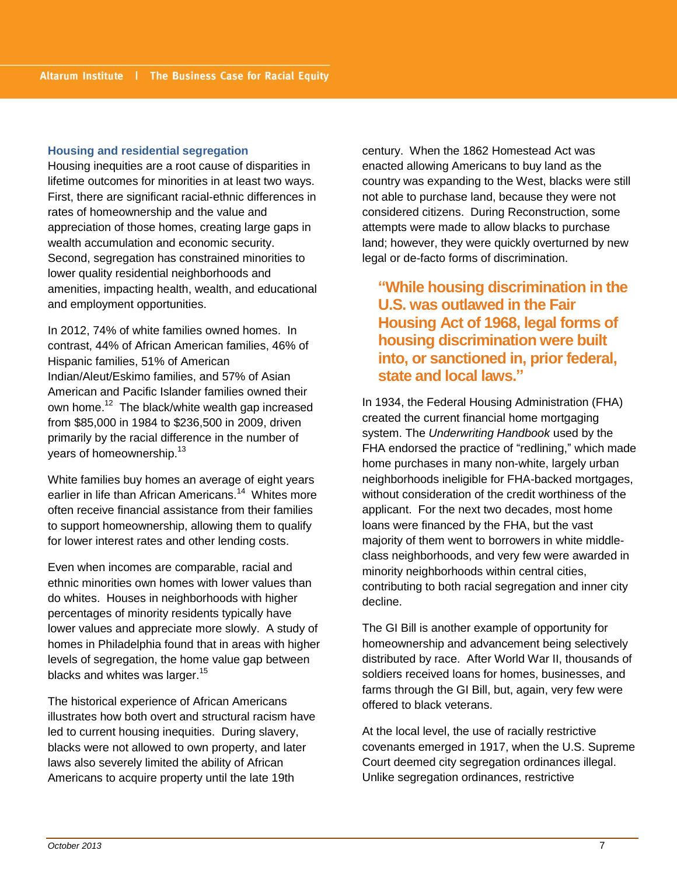#### **Housing and residential segregation**

Housing inequities are a root cause of disparities in lifetime outcomes for minorities in at least two ways. First, there are significant racial-ethnic differences in rates of homeownership and the value and appreciation of those homes, creating large gaps in wealth accumulation and economic security. Second, segregation has constrained minorities to lower quality residential neighborhoods and amenities, impacting health, wealth, and educational and employment opportunities.

In 2012, 74% of white families owned homes. In contrast, 44% of African American families, 46% of Hispanic families, 51% of American Indian/Aleut/Eskimo families, and 57% of Asian American and Pacific Islander families owned their own home.<sup>12</sup> The black/white wealth gap increased from \$85,000 in 1984 to \$236,500 in 2009, driven primarily by the racial difference in the number of years of homeownership.<sup>13</sup>

White families buy homes an average of eight years earlier in life than African Americans.<sup>14</sup> Whites more often receive financial assistance from their families to support homeownership, allowing them to qualify for lower interest rates and other lending costs.

Even when incomes are comparable, racial and ethnic minorities own homes with lower values than do whites. Houses in neighborhoods with higher percentages of minority residents typically have lower values and appreciate more slowly. A study of homes in Philadelphia found that in areas with higher levels of segregation, the home value gap between blacks and whites was larger.<sup>15</sup>

The historical experience of African Americans illustrates how both overt and structural racism have led to current housing inequities. During slavery, blacks were not allowed to own property, and later laws also severely limited the ability of African Americans to acquire property until the late 19th

century. When the 1862 Homestead Act was enacted allowing Americans to buy land as the country was expanding to the West, blacks were still not able to purchase land, because they were not considered citizens. During Reconstruction, some attempts were made to allow blacks to purchase land; however, they were quickly overturned by new legal or de-facto forms of discrimination.

**"While housing discrimination in the U.S. was outlawed in the Fair Housing Act of 1968, legal forms of housing discrimination were built into, or sanctioned in, prior federal, state and local laws."**

In 1934, the Federal Housing Administration (FHA) created the current financial home mortgaging system. The *Underwriting Handbook* used by the FHA endorsed the practice of "redlining," which made home purchases in many non-white, largely urban neighborhoods ineligible for FHA-backed mortgages, without consideration of the credit worthiness of the applicant. For the next two decades, most home loans were financed by the FHA, but the vast majority of them went to borrowers in white middleclass neighborhoods, and very few were awarded in minority neighborhoods within central cities, contributing to both racial segregation and inner city decline.

The GI Bill is another example of opportunity for homeownership and advancement being selectively distributed by race. After World War II, thousands of soldiers received loans for homes, businesses, and farms through the GI Bill, but, again, very few were offered to black veterans.

At the local level, the use of racially restrictive covenants emerged in 1917, when the U.S. Supreme Court deemed city segregation ordinances illegal. Unlike segregation ordinances, restrictive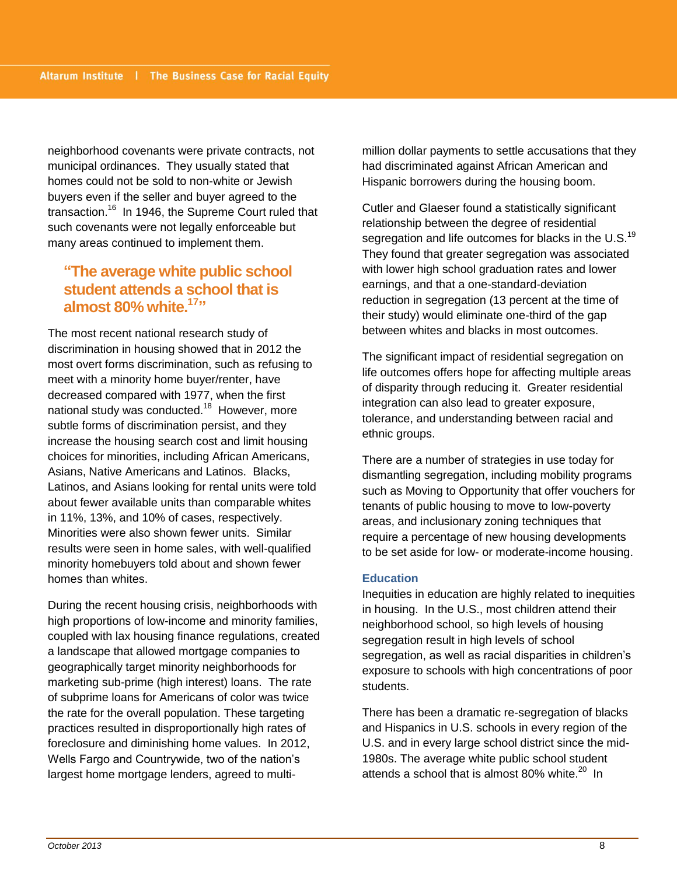neighborhood covenants were private contracts, not municipal ordinances. They usually stated that homes could not be sold to non-white or Jewish buyers even if the seller and buyer agreed to the transaction.<sup>16</sup> In 1946, the Supreme Court ruled that such covenants were not legally enforceable but many areas continued to implement them.

## **"The average white public school student attends a school that is almost 80% white.<sup>17</sup>"**

The most recent national research study of discrimination in housing showed that in 2012 the most overt forms discrimination, such as refusing to meet with a minority home buyer/renter, have decreased compared with 1977, when the first national study was conducted.<sup>18</sup> However, more subtle forms of discrimination persist, and they increase the housing search cost and limit housing choices for minorities, including African Americans, Asians, Native Americans and Latinos. Blacks, Latinos, and Asians looking for rental units were told about fewer available units than comparable whites in 11%, 13%, and 10% of cases, respectively. Minorities were also shown fewer units. Similar results were seen in home sales, with well-qualified minority homebuyers told about and shown fewer homes than whites.

During the recent housing crisis, neighborhoods with high proportions of low-income and minority families, coupled with lax housing finance regulations, created a landscape that allowed mortgage companies to geographically target minority neighborhoods for marketing sub-prime (high interest) loans. The rate of subprime loans for Americans of color was twice the rate for the overall population. These targeting practices resulted in disproportionally high rates of foreclosure and diminishing home values. In 2012, Wells Fargo and Countrywide, two of the nation's largest home mortgage lenders, agreed to multimillion dollar payments to settle accusations that they had discriminated against African American and Hispanic borrowers during the housing boom.

Cutler and Glaeser found a statistically significant relationship between the degree of residential segregation and life outcomes for blacks in the U.S. $^{19}$ They found that greater segregation was associated with lower high school graduation rates and lower earnings, and that a one-standard-deviation reduction in segregation (13 percent at the time of their study) would eliminate one-third of the gap between whites and blacks in most outcomes.

The significant impact of residential segregation on life outcomes offers hope for affecting multiple areas of disparity through reducing it. Greater residential integration can also lead to greater exposure, tolerance, and understanding between racial and ethnic groups.

There are a number of strategies in use today for dismantling segregation, including mobility programs such as Moving to Opportunity that offer vouchers for tenants of public housing to move to low-poverty areas, and inclusionary zoning techniques that require a percentage of new housing developments to be set aside for low- or moderate-income housing.

#### **Education**

Inequities in education are highly related to inequities in housing. In the U.S., most children attend their neighborhood school, so high levels of housing segregation result in high levels of school segregation, as well as racial disparities in children's exposure to schools with high concentrations of poor students.

There has been a dramatic re-segregation of blacks and Hispanics in U.S. schools in every region of the U.S. and in every large school district since the mid-1980s. The average white public school student attends a school that is almost 80% white. $20$  In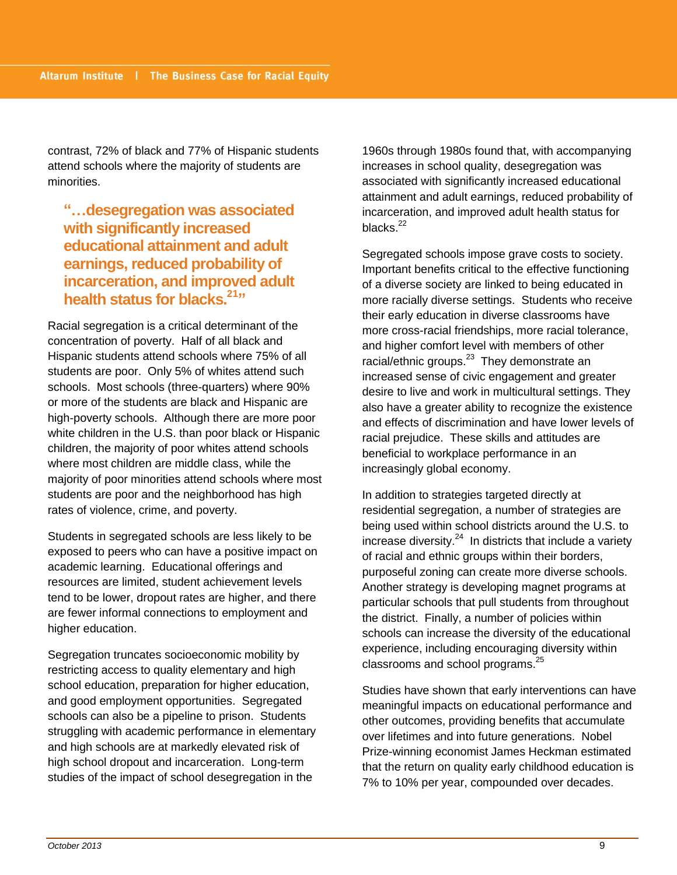contrast, 72% of black and 77% of Hispanic students attend schools where the majority of students are minorities.

## **"…desegregation was associated with significantly increased educational attainment and adult earnings, reduced probability of incarceration, and improved adult health status for blacks.<sup>21</sup>"**

Racial segregation is a critical determinant of the concentration of poverty. Half of all black and Hispanic students attend schools where 75% of all students are poor. Only 5% of whites attend such schools. Most schools (three-quarters) where 90% or more of the students are black and Hispanic are high-poverty schools. Although there are more poor white children in the U.S. than poor black or Hispanic children, the majority of poor whites attend schools where most children are middle class, while the majority of poor minorities attend schools where most students are poor and the neighborhood has high rates of violence, crime, and poverty.

Students in segregated schools are less likely to be exposed to peers who can have a positive impact on academic learning. Educational offerings and resources are limited, student achievement levels tend to be lower, dropout rates are higher, and there are fewer informal connections to employment and higher education.

Segregation truncates socioeconomic mobility by restricting access to quality elementary and high school education, preparation for higher education, and good employment opportunities. Segregated schools can also be a pipeline to prison. Students struggling with academic performance in elementary and high schools are at markedly elevated risk of high school dropout and incarceration. Long-term studies of the impact of school desegregation in the

1960s through 1980s found that, with accompanying increases in school quality, desegregation was associated with significantly increased educational attainment and adult earnings, reduced probability of incarceration, and improved adult health status for blacks.<sup>22</sup>

Segregated schools impose grave costs to society. Important benefits critical to the effective functioning of a diverse society are linked to being educated in more racially diverse settings. Students who receive their early education in diverse classrooms have more cross-racial friendships, more racial tolerance, and higher comfort level with members of other racial/ethnic groups.<sup>23</sup> They demonstrate an increased sense of civic engagement and greater desire to live and work in multicultural settings. They also have a greater ability to recognize the existence and effects of discrimination and have lower levels of racial prejudice. These skills and attitudes are beneficial to workplace performance in an increasingly global economy.

In addition to strategies targeted directly at residential segregation, a number of strategies are being used within school districts around the U.S. to increase diversity. $24$  In districts that include a variety of racial and ethnic groups within their borders, purposeful zoning can create more diverse schools. Another strategy is developing magnet programs at particular schools that pull students from throughout the district. Finally, a number of policies within schools can increase the diversity of the educational experience, including encouraging diversity within classrooms and school programs.<sup>25</sup>

Studies have shown that early interventions can have meaningful impacts on educational performance and other outcomes, providing benefits that accumulate over lifetimes and into future generations. Nobel Prize-winning economist James Heckman estimated that the return on quality early childhood education is 7% to 10% per year, compounded over decades.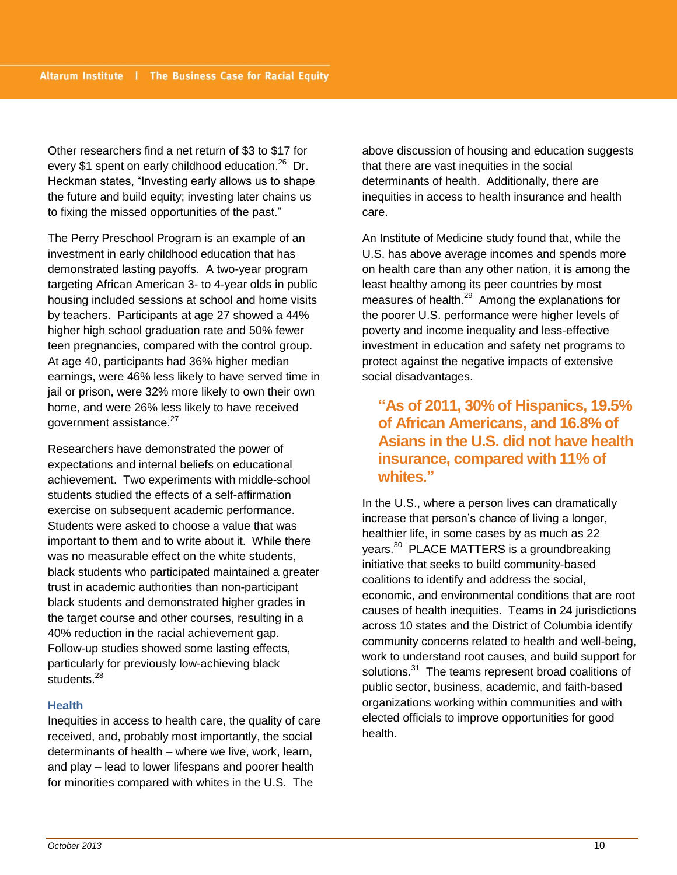Other researchers find a net return of \$3 to \$17 for every \$1 spent on early childhood education.<sup>26</sup> Dr. Heckman states, "Investing early allows us to shape the future and build equity; investing later chains us to fixing the missed opportunities of the past."

The Perry Preschool Program is an example of an investment in early childhood education that has demonstrated lasting payoffs. A two-year program targeting African American 3- to 4-year olds in public housing included sessions at school and home visits by teachers. Participants at age 27 showed a 44% higher high school graduation rate and 50% fewer teen pregnancies, compared with the control group. At age 40, participants had 36% higher median earnings, were 46% less likely to have served time in jail or prison, were 32% more likely to own their own home, and were 26% less likely to have received government assistance.<sup>27</sup>

Researchers have demonstrated the power of expectations and internal beliefs on educational achievement. Two experiments with middle-school students studied the effects of a self-affirmation exercise on subsequent academic performance. Students were asked to choose a value that was important to them and to write about it. While there was no measurable effect on the white students, black students who participated maintained a greater trust in academic authorities than non-participant black students and demonstrated higher grades in the target course and other courses, resulting in a 40% reduction in the racial achievement gap. Follow-up studies showed some lasting effects, particularly for previously low-achieving black students<sup>28</sup>

#### **Health**

Inequities in access to health care, the quality of care received, and, probably most importantly, the social determinants of health – where we live, work, learn, and play – lead to lower lifespans and poorer health for minorities compared with whites in the U.S. The

above discussion of housing and education suggests that there are vast inequities in the social determinants of health. Additionally, there are inequities in access to health insurance and health care.

An Institute of Medicine study found that, while the U.S. has above average incomes and spends more on health care than any other nation, it is among the least healthy among its peer countries by most measures of health.<sup>29</sup> Among the explanations for the poorer U.S. performance were higher levels of poverty and income inequality and less-effective investment in education and safety net programs to protect against the negative impacts of extensive social disadvantages.

## **"As of 2011, 30% of Hispanics, 19.5% of African Americans, and 16.8% of Asians in the U.S. did not have health insurance, compared with 11% of whites."**

In the U.S., where a person lives can dramatically increase that person's chance of living a longer, healthier life, in some cases by as much as 22 years.<sup>30</sup> PLACE MATTERS is a groundbreaking initiative that seeks to build community-based coalitions to identify and address the social, economic, and environmental conditions that are root causes of health inequities. Teams in 24 jurisdictions across 10 states and the District of Columbia identify community concerns related to health and well-being, work to understand root causes, and build support for solutions.<sup>31</sup> The teams represent broad coalitions of public sector, business, academic, and faith-based organizations working within communities and with elected officials to improve opportunities for good health.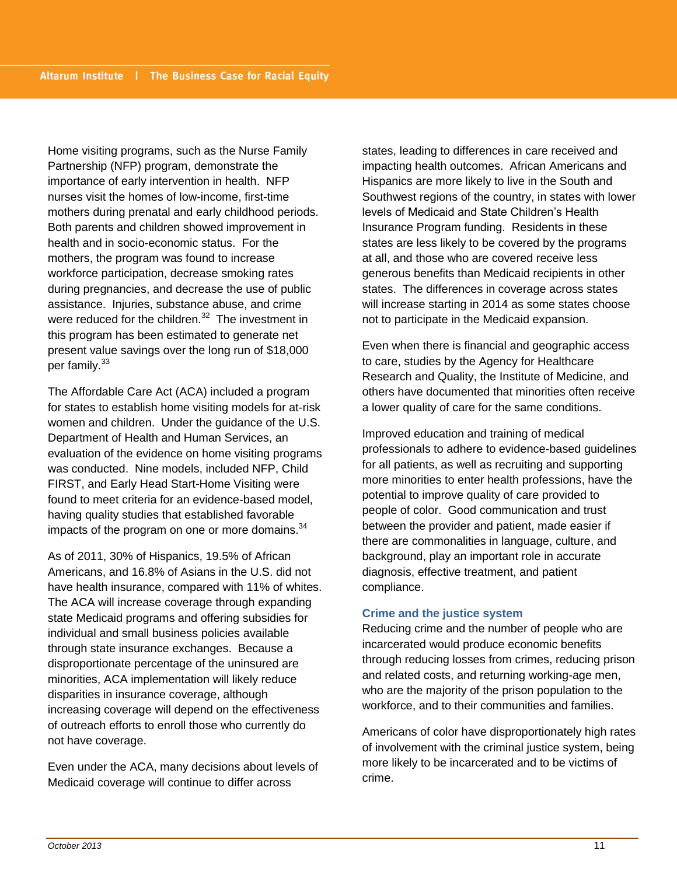Home visiting programs, such as the Nurse Family Partnership (NFP) program, demonstrate the importance of early intervention in health. NFP nurses visit the homes of low-income, first-time mothers during prenatal and early childhood periods. Both parents and children showed improvement in health and in socio-economic status. For the mothers, the program was found to increase workforce participation, decrease smoking rates during pregnancies, and decrease the use of public assistance. Injuries, substance abuse, and crime were reduced for the children.<sup>32</sup> The investment in this program has been estimated to generate net present value savings over the long run of \$18,000 per family.<sup>33</sup>

The Affordable Care Act (ACA) included a program for states to establish home visiting models for at-risk women and children. Under the guidance of the U.S. Department of Health and Human Services, an evaluation of the evidence on home visiting programs was conducted. Nine models, included NFP, Child FIRST, and Early Head Start-Home Visiting were found to meet criteria for an evidence-based model, having quality studies that established favorable impacts of the program on one or more domains. $34$ 

As of 2011, 30% of Hispanics, 19.5% of African Americans, and 16.8% of Asians in the U.S. did not have health insurance, compared with 11% of whites. The ACA will increase coverage through expanding state Medicaid programs and offering subsidies for individual and small business policies available through state insurance exchanges. Because a disproportionate percentage of the uninsured are minorities, ACA implementation will likely reduce disparities in insurance coverage, although increasing coverage will depend on the effectiveness of outreach efforts to enroll those who currently do not have coverage.

Even under the ACA, many decisions about levels of Medicaid coverage will continue to differ across

states, leading to differences in care received and impacting health outcomes. African Americans and Hispanics are more likely to live in the South and Southwest regions of the country, in states with lower levels of Medicaid and State Children's Health Insurance Program funding. Residents in these states are less likely to be covered by the programs at all, and those who are covered receive less generous benefits than Medicaid recipients in other states. The differences in coverage across states will increase starting in 2014 as some states choose not to participate in the Medicaid expansion.

Even when there is financial and geographic access to care, studies by the Agency for Healthcare Research and Quality, the Institute of Medicine, and others have documented that minorities often receive a lower quality of care for the same conditions.

Improved education and training of medical professionals to adhere to evidence-based guidelines for all patients, as well as recruiting and supporting more minorities to enter health professions, have the potential to improve quality of care provided to people of color. Good communication and trust between the provider and patient, made easier if there are commonalities in language, culture, and background, play an important role in accurate diagnosis, effective treatment, and patient compliance.

#### **Crime and the justice system**

Reducing crime and the number of people who are incarcerated would produce economic benefits through reducing losses from crimes, reducing prison and related costs, and returning working-age men, who are the majority of the prison population to the workforce, and to their communities and families.

Americans of color have disproportionately high rates of involvement with the criminal justice system, being more likely to be incarcerated and to be victims of crime.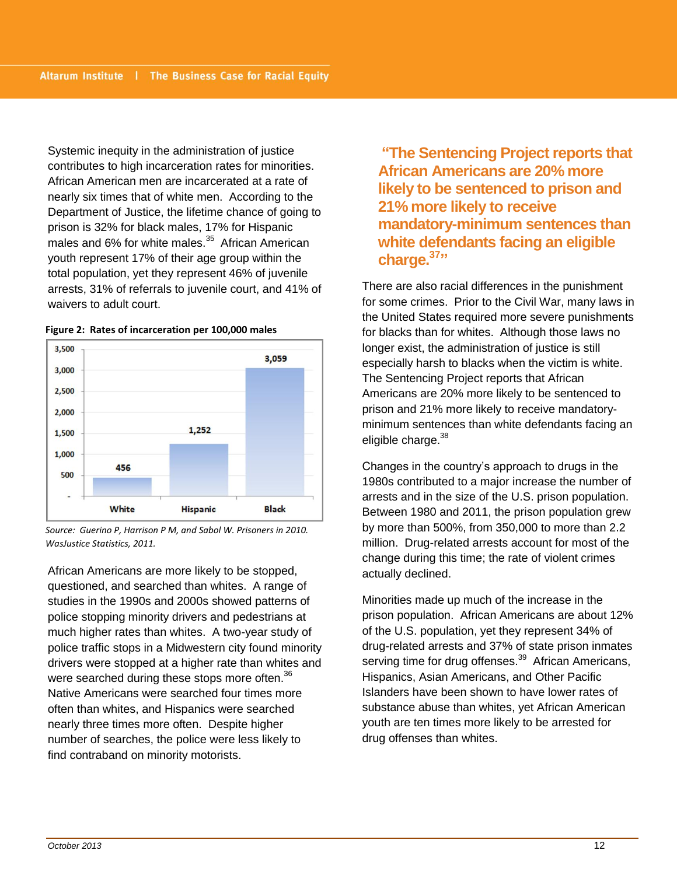Systemic inequity in the administration of justice contributes to high incarceration rates for minorities. African American men are incarcerated at a rate of nearly six times that of white men. According to the Department of Justice, the lifetime chance of going to prison is 32% for black males, 17% for Hispanic males and 6% for white males.<sup>35</sup> African American youth represent 17% of their age group within the total population, yet they represent 46% of juvenile arrests, 31% of referrals to juvenile court, and 41% of waivers to adult court.





*Source: Guerino P, Harrison P M, and Sabol W. Prisoners in 2010. WasJustice Statistics, 2011.*

African Americans are more likely to be stopped, questioned, and searched than whites. A range of studies in the 1990s and 2000s showed patterns of police stopping minority drivers and pedestrians at much higher rates than whites. A two-year study of police traffic stops in a Midwestern city found minority drivers were stopped at a higher rate than whites and were searched during these stops more often. $36$ Native Americans were searched four times more often than whites, and Hispanics were searched nearly three times more often. Despite higher number of searches, the police were less likely to find contraband on minority motorists.

**"The Sentencing Project reports that African Americans are 20% more likely to be sentenced to prison and 21% more likely to receive mandatory-minimum sentences than white defendants facing an eligible charge.<sup>37</sup>"**

There are also racial differences in the punishment for some crimes. Prior to the Civil War, many laws in the United States required more severe punishments for blacks than for whites. Although those laws no longer exist, the administration of justice is still especially harsh to blacks when the victim is white. The Sentencing Project reports that African Americans are 20% more likely to be sentenced to prison and 21% more likely to receive mandatoryminimum sentences than white defendants facing an eligible charge.<sup>38</sup>

Changes in the country's approach to drugs in the 1980s contributed to a major increase the number of arrests and in the size of the U.S. prison population. Between 1980 and 2011, the prison population grew by more than 500%, from 350,000 to more than 2.2 million. Drug-related arrests account for most of the change during this time; the rate of violent crimes actually declined.

Minorities made up much of the increase in the prison population. African Americans are about 12% of the U.S. population, yet they represent 34% of drug-related arrests and 37% of state prison inmates serving time for drug offenses.<sup>39</sup> African Americans, Hispanics, Asian Americans, and Other Pacific Islanders have been shown to have lower rates of substance abuse than whites, yet African American youth are ten times more likely to be arrested for drug offenses than whites.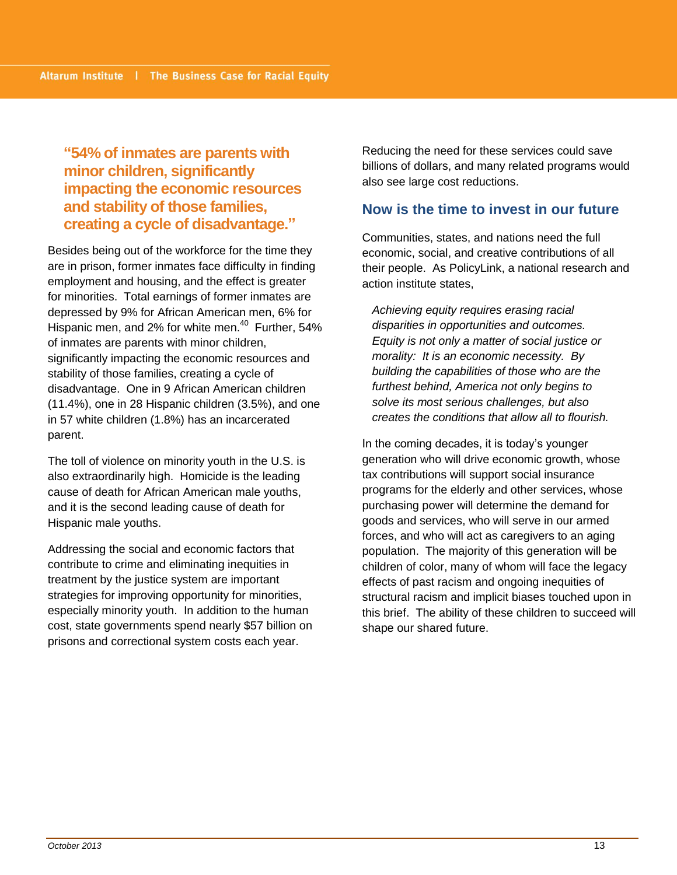## **"54% of inmates are parents with minor children, significantly impacting the economic resources and stability of those families, creating a cycle of disadvantage."**

Besides being out of the workforce for the time they are in prison, former inmates face difficulty in finding employment and housing, and the effect is greater for minorities. Total earnings of former inmates are depressed by 9% for African American men, 6% for Hispanic men, and 2% for white men.<sup>40</sup> Further, 54% of inmates are parents with minor children, significantly impacting the economic resources and stability of those families, creating a cycle of disadvantage. One in 9 African American children (11.4%), one in 28 Hispanic children (3.5%), and one in 57 white children (1.8%) has an incarcerated parent.

The toll of violence on minority youth in the U.S. is also extraordinarily high. Homicide is the leading cause of death for African American male youths, and it is the second leading cause of death for Hispanic male youths.

Addressing the social and economic factors that contribute to crime and eliminating inequities in treatment by the justice system are important strategies for improving opportunity for minorities, especially minority youth. In addition to the human cost, state governments spend nearly \$57 billion on prisons and correctional system costs each year.

Reducing the need for these services could save billions of dollars, and many related programs would also see large cost reductions.

## **Now is the time to invest in our future**

Communities, states, and nations need the full economic, social, and creative contributions of all their people. As PolicyLink, a national research and action institute states,

*Achieving equity requires erasing racial disparities in opportunities and outcomes. Equity is not only a matter of social justice or morality: It is an economic necessity. By building the capabilities of those who are the furthest behind, America not only begins to solve its most serious challenges, but also creates the conditions that allow all to flourish.*

In the coming decades, it is today's younger generation who will drive economic growth, whose tax contributions will support social insurance programs for the elderly and other services, whose purchasing power will determine the demand for goods and services, who will serve in our armed forces, and who will act as caregivers to an aging population. The majority of this generation will be children of color, many of whom will face the legacy effects of past racism and ongoing inequities of structural racism and implicit biases touched upon in this brief. The ability of these children to succeed will shape our shared future.